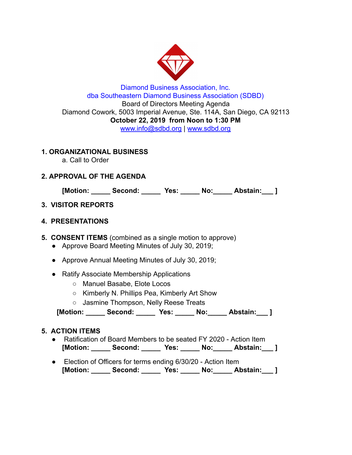

## Diamond Business Association, Inc. dba Southeastern Diamond Business Association (SDBD) Board of Directors Meeting Agenda Diamond Cowork, 5003 Imperial Avenue, Ste. 114A, San Diego, CA 92113 **October 22, 2019 from Noon to 1:30 PM**  www.info@sdbd.org | [www.sdbd.org](http://www.sdbd.org/)

## **1. ORGANIZATIONAL BUSINESS**

a. Call to Order

# **2. APPROVAL OF THE AGENDA**

**[Motion: \_\_\_\_\_ Second: \_\_\_\_\_ Yes: \_\_\_\_\_ No:\_\_\_\_\_ Abstain:\_\_\_ ]** 

# **3. VISITOR REPORTS**

## **4. PRESENTATIONS**

**5. CONSENT ITEMS** (combined as a single motion to approve)

- Approve Board Meeting Minutes of July 30, 2019;
- Approve Annual Meeting Minutes of July 30, 2019;
- Ratify Associate Membership Applications
	- Manuel Basabe, Elote Locos
	- Kimberly N. Phillips Pea, Kimberly Art Show
	- Jasmine Thompson, Nelly Reese Treats

 **[Motion: \_\_\_\_\_ Second: \_\_\_\_\_ Yes: \_\_\_\_\_ No:\_\_\_\_\_ Abstain:\_\_\_ ]** 

## **5. ACTION ITEMS**

- Ratification of Board Members to be seated FY 2020 Action Item **[Motion: \_\_\_\_\_ Second: \_\_\_\_\_ Yes: \_\_\_\_\_ No:\_\_\_\_\_ Abstain:\_\_\_ ]**
- Election of Officers for terms ending 6/30/20 Action Item **[Motion: \_\_\_\_\_ Second: \_\_\_\_\_ Yes: \_\_\_\_\_ No:\_\_\_\_\_ Abstain:\_\_\_ ]**